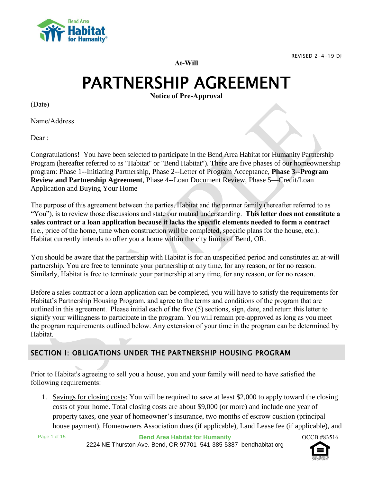

REVISED 2-4-19 DJ

**At-Will**

# PARTNERSHIP AGREEMENT

**Notice of Pre-Approval**

(Date)

Name/Address

Dear :

Congratulations! You have been selected to participate in the Bend Area Habitat for Humanity Partnership Program (hereafter referred to as "Habitat" or "Bend Habitat"). There are five phases of our homeownership program: Phase 1--Initiating Partnership, Phase 2--Letter of Program Acceptance, **Phase 3--Program Review and Partnership Agreement**, Phase 4--Loan Document Review, Phase 5—Credit/Loan Application and Buying Your Home

The purpose of this agreement between the parties, Habitat and the partner family (hereafter referred to as "You"), is to review those discussions and state our mutual understanding. **This letter does not constitute a sales contract or a loan application because it lacks the specific elements needed to form a contract** (i.e., price of the home, time when construction will be completed, specific plans for the house, etc.). Habitat currently intends to offer you a home within the city limits of Bend, OR.

You should be aware that the partnership with Habitat is for an unspecified period and constitutes an at-will partnership. You are free to terminate your partnership at any time, for any reason, or for no reason. Similarly, Habitat is free to terminate your partnership at any time, for any reason, or for no reason.

Before a sales contract or a loan application can be completed, you will have to satisfy the requirements for Habitat's Partnership Housing Program, and agree to the terms and conditions of the program that are outlined in this agreement. Please initial each of the five (5) sections, sign, date, and return this letter to signify your willingness to participate in the program. You will remain pre-approved as long as you meet the program requirements outlined below. Any extension of your time in the program can be determined by Habitat.

## SECTION I: OBLIGATIONS UNDER THE PARTNERSHIP HOUSING PROGRAM

Prior to Habitat's agreeing to sell you a house, you and your family will need to have satisfied the following requirements:

1. Savings for closing costs: You will be required to save at least \$2,000 to apply toward the closing costs of your home. Total closing costs are about \$9,000 (or more) and include one year of property taxes, one year of homeowner's insurance, two months of escrow cushion (principal house payment), Homeowners Association dues (if applicable), Land Lease fee (if applicable), and

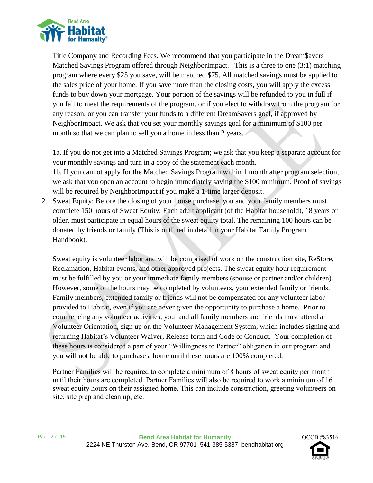

Title Company and Recording Fees. We recommend that you participate in the Dream\$avers Matched Savings Program offered through NeighborImpact. This is a three to one (3:1) matching program where every \$25 you save, will be matched \$75. All matched savings must be applied to the sales price of your home. If you save more than the closing costs, you will apply the excess funds to buy down your mortgage. Your portion of the savings will be refunded to you in full if you fail to meet the requirements of the program, or if you elect to withdraw from the program for any reason, or you can transfer your funds to a different Dream\$avers goal, if approved by NeighborImpact. We ask that you set your monthly savings goal for a minimum of \$100 per month so that we can plan to sell you a home in less than 2 years.

1a. If you do not get into a Matched Savings Program; we ask that you keep a separate account for your monthly savings and turn in a copy of the statement each month. 1b. If you cannot apply for the Matched Savings Program within 1 month after program selection, we ask that you open an account to begin immediately saving the \$100 minimum. Proof of savings

2. Sweat Equity: Before the closing of your house purchase, you and your family members must complete 150 hours of Sweat Equity: Each adult applicant (of the Habitat household), 18 years or older, must participate in equal hours of the sweat equity total. The remaining 100 hours can be donated by friends or family (This is outlined in detail in your Habitat Family Program Handbook).

will be required by NeighborImpact if you make a 1-time larger deposit.

Sweat equity is volunteer labor and will be comprised of work on the construction site, ReStore, Reclamation, Habitat events, and other approved projects. The sweat equity hour requirement must be fulfilled by you or your immediate family members (spouse or partner and/or children). However, some of the hours may be completed by volunteers, your extended family or friends. Family members, extended family or friends will not be compensated for any volunteer labor provided to Habitat, even if you are never given the opportunity to purchase a home. Prior to commencing any volunteer activities, you and all family members and friends must attend a Volunteer Orientation, sign up on the Volunteer Management System, which includes signing and returning Habitat's Volunteer Waiver, Release form and Code of Conduct. Your completion of these hours is considered a part of your "Willingness to Partner" obligation in our program and you will not be able to purchase a home until these hours are 100% completed.

Partner Families will be required to complete a minimum of 8 hours of sweat equity per month until their hours are completed. Partner Families will also be required to work a minimum of 16 sweat equity hours on their assigned home. This can include construction, greeting volunteers on site, site prep and clean up, etc.

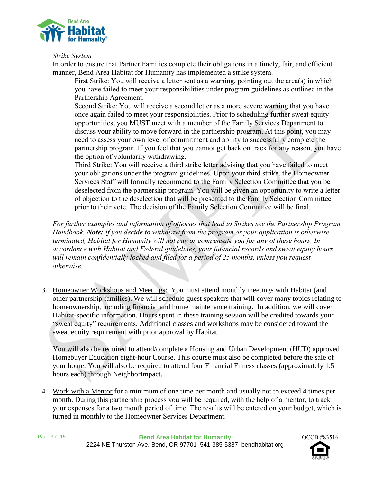

#### *Strike System*

In order to ensure that Partner Families complete their obligations in a timely, fair, and efficient manner, Bend Area Habitat for Humanity has implemented a strike system.

First Strike: You will receive a letter sent as a warning, pointing out the area(s) in which you have failed to meet your responsibilities under program guidelines as outlined in the Partnership Agreement.

Second Strike: You will receive a second letter as a more severe warning that you have once again failed to meet your responsibilities. Prior to scheduling further sweat equity opportunities, you MUST meet with a member of the Family Services Department to discuss your ability to move forward in the partnership program. At this point, you may need to assess your own level of commitment and ability to successfully complete the partnership program. If you feel that you cannot get back on track for any reason, you have the option of voluntarily withdrawing.

Third Strike: You will receive a third strike letter advising that you have failed to meet your obligations under the program guidelines. Upon your third strike, the Homeowner Services Staff will formally recommend to the Family Selection Committee that you be deselected from the partnership program. You will be given an opportunity to write a letter of objection to the deselection that will be presented to the Family Selection Committee prior to their vote. The decision of the Family Selection Committee will be final.

*For further examples and information of offenses that lead to Strikes see the Partnership Program Handbook. Note: If you decide to withdraw from the program or your application is otherwise terminated, Habitat for Humanity will not pay or compensate you for any of these hours. In accordance with Habitat and Federal guidelines, your financial records and sweat equity hours will remain confidentially locked and filed for a period of 25 months, unless you request otherwise.* 

3. Homeowner Workshops and Meetings: You must attend monthly meetings with Habitat (and other partnership families). We will schedule guest speakers that will cover many topics relating to homeownership, including financial and home maintenance training. In addition, we will cover Habitat-specific information. Hours spent in these training session will be credited towards your "sweat equity" requirements. Additional classes and workshops may be considered toward the sweat equity requirement with prior approval by Habitat.

You will also be required to attend/complete a Housing and Urban Development (HUD) approved Homebuyer Education eight-hour Course. This course must also be completed before the sale of your home. You will also be required to attend four Financial Fitness classes (approximately 1.5 hours each) through NeighborImpact.

4. Work with a Mentor for a minimum of one time per month and usually not to exceed 4 times per month. During this partnership process you will be required, with the help of a mentor, to track your expenses for a two month period of time. The results will be entered on your budget, which is turned in monthly to the Homeowner Services Department.

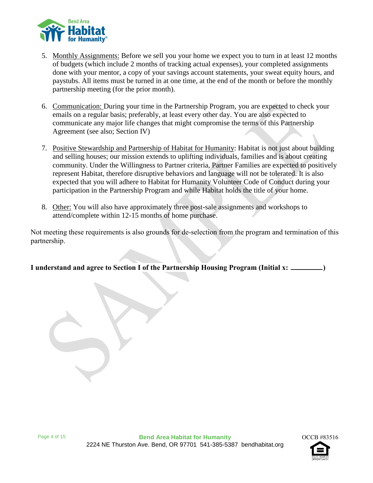

- 5. Monthly Assignments: Before we sell you your home we expect you to turn in at least 12 months of budgets (which include 2 months of tracking actual expenses), your completed assignments done with your mentor, a copy of your savings account statements, your sweat equity hours, and paystubs. All items must be turned in at one time, at the end of the month or before the monthly partnership meeting (for the prior month).
- 6. Communication: During your time in the Partnership Program, you are expected to check your emails on a regular basis; preferably, at least every other day. You are also expected to communicate any major life changes that might compromise the terms of this Partnership Agreement (see also; Section IV)
- 7. Positive Stewardship and Partnership of Habitat for Humanity: Habitat is not just about building and selling houses; our mission extends to uplifting individuals, families and is about creating community. Under the Willingness to Partner criteria, Partner Families are expected to positively represent Habitat, therefore disruptive behaviors and language will not be tolerated. It is also expected that you will adhere to Habitat for Humanity Volunteer Code of Conduct during your participation in the Partnership Program and while Habitat holds the title of your home.
- 8. Other: You will also have approximately three post-sale assignments and workshops to attend/complete within 12-15 months of home purchase.

Not meeting these requirements is also grounds for de-selection from the program and termination of this partnership.

**I understand and agree to Section I of the Partnership Housing Program (Initial x: )**

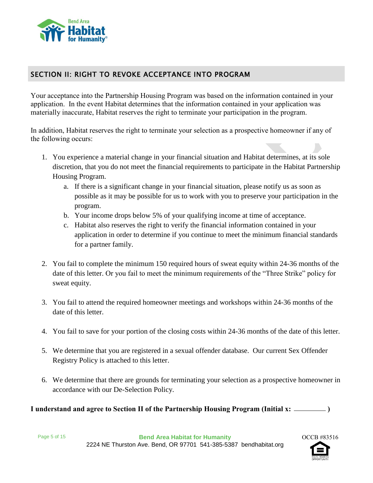

#### SECTION II: RIGHT TO REVOKE ACCEPTANCE INTO PROGRAM

Your acceptance into the Partnership Housing Program was based on the information contained in your application. In the event Habitat determines that the information contained in your application was materially inaccurate, Habitat reserves the right to terminate your participation in the program.

In addition, Habitat reserves the right to terminate your selection as a prospective homeowner if any of the following occurs:

- 1. You experience a material change in your financial situation and Habitat determines, at its sole discretion, that you do not meet the financial requirements to participate in the Habitat Partnership Housing Program.
	- a. If there is a significant change in your financial situation, please notify us as soon as possible as it may be possible for us to work with you to preserve your participation in the program.
	- b. Your income drops below 5% of your qualifying income at time of acceptance.
	- c. Habitat also reserves the right to verify the financial information contained in your application in order to determine if you continue to meet the minimum financial standards for a partner family.
- 2. You fail to complete the minimum 150 required hours of sweat equity within 24-36 months of the date of this letter. Or you fail to meet the minimum requirements of the "Three Strike" policy for sweat equity.
- 3. You fail to attend the required homeowner meetings and workshops within 24-36 months of the date of this letter.
- 4. You fail to save for your portion of the closing costs within 24-36 months of the date of this letter.
- 5. We determine that you are registered in a sexual offender database. Our current Sex Offender Registry Policy is attached to this letter.
- 6. We determine that there are grounds for terminating your selection as a prospective homeowner in accordance with our De-Selection Policy.

#### **I understand and agree to Section II of the Partnership Housing Program (Initial x: )**

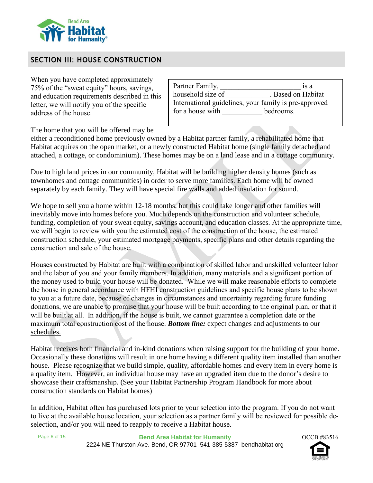

#### SECTION III: HOUSE CONSTRUCTION

When you have completed approximately 75% of the "sweat equity" hours, savings, and education requirements described in this letter, we will notify you of the specific address of the house.

| Partner Family,                                       | 1S a               |  |
|-------------------------------------------------------|--------------------|--|
| household size of                                     | . Based on Habitat |  |
| International guidelines, your family is pre-approved |                    |  |
| for a house with                                      | bedrooms.          |  |

The home that you will be offered may be

either a reconditioned home previously owned by a Habitat partner family, a rehabilitated home that Habitat acquires on the open market, or a newly constructed Habitat home (single family detached and attached, a cottage, or condominium). These homes may be on a land lease and in a cottage community.

Due to high land prices in our community, Habitat will be building higher density homes (such as townhomes and cottage communities) in order to serve more families. Each home will be owned separately by each family. They will have special fire walls and added insulation for sound.

We hope to sell you a home within 12-18 months, but this could take longer and other families will inevitably move into homes before you. Much depends on the construction and volunteer schedule, funding, completion of your sweat equity, savings account, and education classes. At the appropriate time, we will begin to review with you the estimated cost of the construction of the house, the estimated construction schedule, your estimated mortgage payments, specific plans and other details regarding the construction and sale of the house.

Houses constructed by Habitat are built with a combination of skilled labor and unskilled volunteer labor and the labor of you and your family members. In addition, many materials and a significant portion of the money used to build your house will be donated. While we will make reasonable efforts to complete the house in general accordance with HFHI construction guidelines and specific house plans to be shown to you at a future date, because of changes in circumstances and uncertainty regarding future funding donations, we are unable to promise that your house will be built according to the original plan, or that it will be built at all. In addition, if the house is built, we cannot guarantee a completion date or the maximum total construction cost of the house. *Bottom line:* expect changes and adjustments to our schedules.

Habitat receives both financial and in-kind donations when raising support for the building of your home. Occasionally these donations will result in one home having a different quality item installed than another house. Please recognize that we build simple, quality, affordable homes and every item in every home is a quality item. However, an individual house may have an upgraded item due to the donor's desire to showcase their craftsmanship. (See your Habitat Partnership Program Handbook for more about construction standards on Habitat homes)

In addition, Habitat often has purchased lots prior to your selection into the program. If you do not want to live at the available house location, your selection as a partner family will be reviewed for possible deselection, and/or you will need to reapply to receive a Habitat house.

Page 6 of 15 **Bend Area Habitat for Humanity** 2224 NE Thurston Ave. Bend, OR 97701 541-385-5387 bendhabitat.org

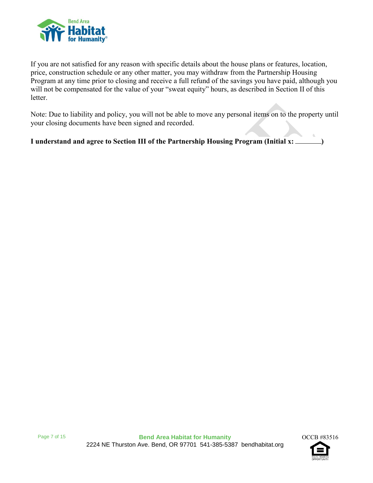

If you are not satisfied for any reason with specific details about the house plans or features, location, price, construction schedule or any other matter, you may withdraw from the Partnership Housing Program at any time prior to closing and receive a full refund of the savings you have paid, although you will not be compensated for the value of your "sweat equity" hours, as described in Section II of this letter.

Note: Due to liability and policy, you will not be able to move any personal items on to the property until your closing documents have been signed and recorded.

**I understand and agree to Section III of the Partnership Housing Program (Initial x: )**

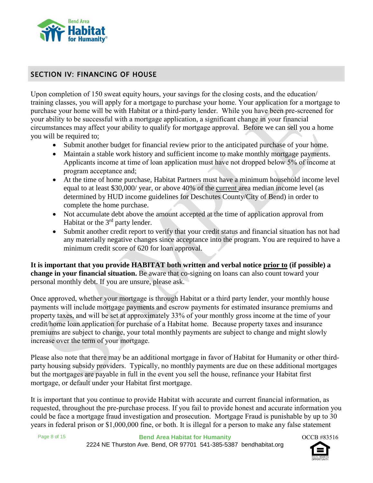

#### SECTION IV: FINANCING OF HOUSE

Upon completion of 150 sweat equity hours, your savings for the closing costs, and the education/ training classes, you will apply for a mortgage to purchase your home. Your application for a mortgage to purchase your home will be with Habitat or a third-party lender. While you have been pre-screened for your ability to be successful with a mortgage application, a significant change in your financial circumstances may affect your ability to qualify for mortgage approval. Before we can sell you a home you will be required to;

- Submit another budget for financial review prior to the anticipated purchase of your home.
- Maintain a stable work history and sufficient income to make monthly mortgage payments. Applicants income at time of loan application must have not dropped below 5% of income at program acceptance and;
- At the time of home purchase, Habitat Partners must have a minimum household income level equal to at least \$30,000/ year, or above 40% of the current area median income level (as determined by HUD income guidelines for Deschutes County/City of Bend) in order to complete the home purchase.
- Not accumulate debt above the amount accepted at the time of application approval from Habitat or the 3<sup>rd</sup> party lender.
- Submit another credit report to verify that your credit status and financial situation has not had any materially negative changes since acceptance into the program. You are required to have a minimum credit score of 620 for loan approval.

**It is important that you provide HABITAT both written and verbal notice prior to (if possible) a change in your financial situation.** Be aware that co-signing on loans can also count toward your personal monthly debt. If you are unsure, please ask.

Once approved, whether your mortgage is through Habitat or a third party lender, your monthly house payments will include mortgage payments and escrow payments for estimated insurance premiums and property taxes, and will be set at approximately 33% of your monthly gross income at the time of your credit/home loan application for purchase of a Habitat home. Because property taxes and insurance premiums are subject to change, your total monthly payments are subject to change and might slowly increase over the term of your mortgage.

Please also note that there may be an additional mortgage in favor of Habitat for Humanity or other thirdparty housing subsidy providers. Typically, no monthly payments are due on these additional mortgages but the mortgages are payable in full in the event you sell the house, refinance your Habitat first mortgage, or default under your Habitat first mortgage.

It is important that you continue to provide Habitat with accurate and current financial information, as requested, throughout the pre-purchase process. If you fail to provide honest and accurate information you could be face a mortgage fraud investigation and prosecution. Mortgage Fraud is punishable by up to 30 years in federal prison or \$1,000,000 fine, or both. It is illegal for a person to make any false statement

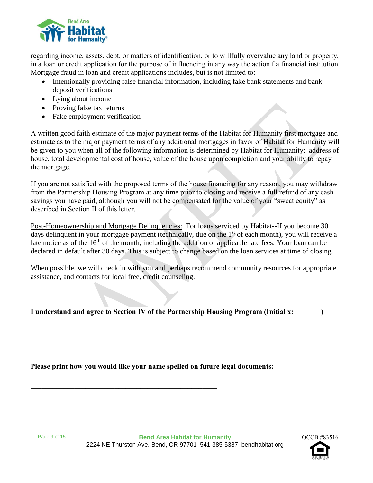

regarding income, assets, debt, or matters of identification, or to willfully overvalue any land or property, in a loan or credit application for the purpose of influencing in any way the action f a financial institution. Mortgage fraud in loan and credit applications includes, but is not limited to:

- Intentionally providing false financial information, including fake bank statements and bank deposit verifications
- Lying about income
- Proving false tax returns
- Fake employment verification

A written good faith estimate of the major payment terms of the Habitat for Humanity first mortgage and estimate as to the major payment terms of any additional mortgages in favor of Habitat for Humanity will be given to you when all of the following information is determined by Habitat for Humanity: address of house, total developmental cost of house, value of the house upon completion and your ability to repay the mortgage.

If you are not satisfied with the proposed terms of the house financing for any reason, you may withdraw from the Partnership Housing Program at any time prior to closing and receive a full refund of any cash savings you have paid, although you will not be compensated for the value of your "sweat equity" as described in Section II of this letter.

Post-Homeownership and Mortgage Delinquencies: For loans serviced by Habitat--If you become 30 days delinquent in your mortgage payment (technically, due on the 1<sup>st</sup> of each month), you will receive a late notice as of the 16<sup>th</sup> of the month, including the addition of applicable late fees. Your loan can be declared in default after 30 days. This is subject to change based on the loan services at time of closing.

When possible, we will check in with you and perhaps recommend community resources for appropriate assistance, and contacts for local free, credit counseling.

**I understand and agree to Section IV of the Partnership Housing Program (Initial x: )**

**Please print how you would like your name spelled on future legal documents:**

**\_\_\_\_\_\_\_\_\_\_\_\_\_\_\_\_\_\_\_\_\_\_\_\_\_\_\_\_\_\_\_\_\_\_\_\_\_\_\_\_\_\_\_\_\_\_\_\_\_\_\_**



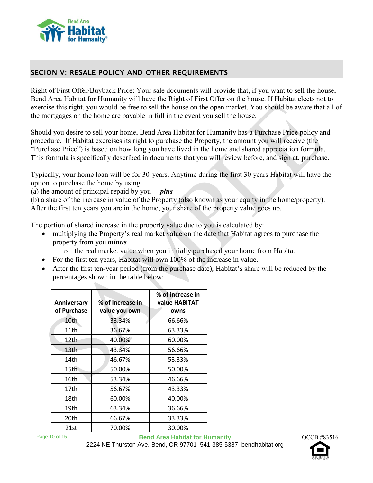

### SECION V: RESALE POLICY AND OTHER REQUIREMENTS

Right of First Offer/Buyback Price: Your sale documents will provide that, if you want to sell the house, Bend Area Habitat for Humanity will have the Right of First Offer on the house. If Habitat elects not to exercise this right, you would be free to sell the house on the open market. You should be aware that all of the mortgages on the home are payable in full in the event you sell the house.

Should you desire to sell your home, Bend Area Habitat for Humanity has a Purchase Price policy and procedure. If Habitat exercises its right to purchase the Property, the amount you will receive (the "Purchase Price") is based on how long you have lived in the home and shared appreciation formula. This formula is specifically described in documents that you will review before, and sign at, purchase.

Typically, your home loan will be for 30-years. Anytime during the first 30 years Habitat will have the option to purchase the home by using

(a) the amount of principal repaid by you *plus*

(b) a share of the increase in value of the Property (also known as your equity in the home/property). After the first ten years you are in the home, your share of the property value goes up.

The portion of shared increase in the property value due to you is calculated by:

- multiplying the Property's real market value on the date that Habitat agrees to purchase the property from you *minus* 
	- o the real market value when you initially purchased your home from Habitat
- For the first ten years, Habitat will own 100% of the increase in value.
- After the first ten-year period (from the purchase date), Habitat's share will be reduced by the percentages shown in the table below:

| Anniversary<br>of Purchase | % of Increase in<br>value you own | % of increase in<br>value HABITAT<br>owns |
|----------------------------|-----------------------------------|-------------------------------------------|
| 10 <sub>th</sub>           | 33.34%                            | 66.66%                                    |
| 11th                       | 36.67%                            | 63.33%                                    |
| 12th                       | 40.00%                            | 60.00%                                    |
| 13th                       | 43.34%                            | 56.66%                                    |
| 14th                       | 46.67%                            | 53.33%                                    |
| 15th                       | 50.00%                            | 50.00%                                    |
| 16th                       | 53.34%                            | 46.66%                                    |
| 17th                       | 56.67%                            | 43.33%                                    |
| 18th                       | 60.00%                            | 40.00%                                    |
| 19th                       | 63.34%                            | 36.66%                                    |
| 20th                       | 66.67%                            | 33.33%                                    |
| 21st                       | 70.00%                            | 30.00%                                    |

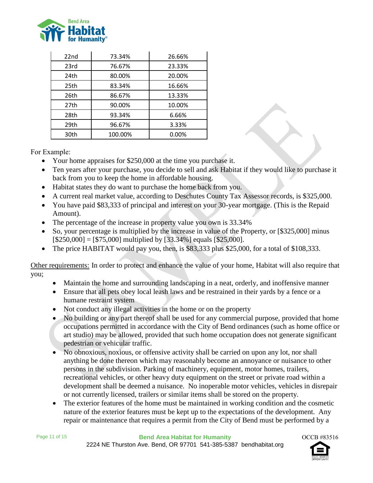

| 22nd | 73.34%  | 26.66%   |
|------|---------|----------|
| 23rd | 76.67%  | 23.33%   |
| 24th | 80.00%  | 20.00%   |
| 25th | 83.34%  | 16.66%   |
| 26th | 86.67%  | 13.33%   |
| 27th | 90.00%  | 10.00%   |
| 28th | 93.34%  | 6.66%    |
| 29th | 96.67%  | 3.33%    |
| 30th | 100.00% | $0.00\%$ |

For Example:

- Your home appraises for \$250,000 at the time you purchase it.
- Ten years after your purchase, you decide to sell and ask Habitat if they would like to purchase it back from you to keep the home in affordable housing.
- Habitat states they do want to purchase the home back from you.
- A current real market value, according to Deschutes County Tax Assessor records, is \$325,000.
- You have paid \$83,333 of principal and interest on your 30-year mortgage. (This is the Repaid Amount).
- The percentage of the increase in property value you own is 33.34%
- So, your percentage is multiplied by the increase in value of the Property, or [\$325,000] minus  $[$250,000] = [$75,000]$  multiplied by  $[33.34\%]$  equals  $[$25,000]$ .
- The price HABITAT would pay you, then, is \$83,333 plus \$25,000, for a total of \$108,333.

Other requirements: In order to protect and enhance the value of your home, Habitat will also require that you;

- Maintain the home and surrounding landscaping in a neat, orderly, and inoffensive manner
- Ensure that all pets obey local leash laws and be restrained in their yards by a fence or a humane restraint system
- Not conduct any illegal activities in the home or on the property
- No building or any part thereof shall be used for any commercial purpose, provided that home occupations permitted in accordance with the City of Bend ordinances (such as home office or art studio) may be allowed, provided that such home occupation does not generate significant pedestrian or vehicular traffic.
- No obnoxious, noxious, or offensive activity shall be carried on upon any lot, nor shall anything be done thereon which may reasonably become an annoyance or nuisance to other persons in the subdivision. Parking of machinery, equipment, motor homes, trailers, recreational vehicles, or other heavy duty equipment on the street or private road within a development shall be deemed a nuisance. No inoperable motor vehicles, vehicles in disrepair or not currently licensed, trailers or similar items shall be stored on the property.
- The exterior features of the home must be maintained in working condition and the cosmetic nature of the exterior features must be kept up to the expectations of the development. Any repair or maintenance that requires a permit from the City of Bend must be performed by a

Page 11 of 15 **Bend Area Habitat for Humanity** 2224 NE Thurston Ave. Bend, OR 97701 541-385-5387 bendhabitat.org

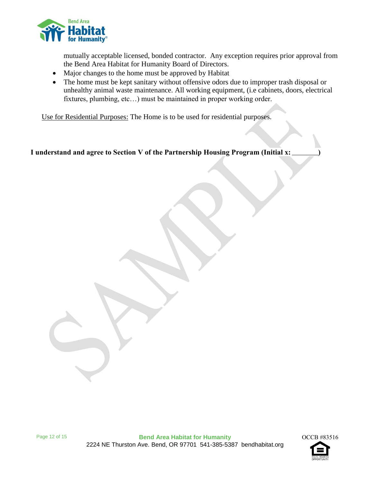

mutually acceptable licensed, bonded contractor. Any exception requires prior approval from the Bend Area Habitat for Humanity Board of Directors.

- Major changes to the home must be approved by Habitat
- The home must be kept sanitary without offensive odors due to improper trash disposal or unhealthy animal waste maintenance. All working equipment, (i.e cabinets, doors, electrical fixtures, plumbing, etc…) must be maintained in proper working order.

Use for Residential Purposes: The Home is to be used for residential purposes.

**I understand and agree to Section V of the Partnership Housing Program (Initial x: )**

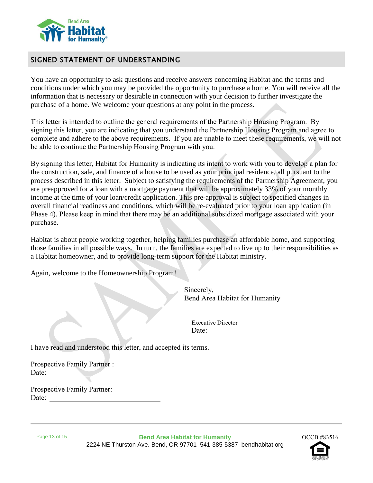

#### SIGNED STATEMENT OF UNDERSTANDING

You have an opportunity to ask questions and receive answers concerning Habitat and the terms and conditions under which you may be provided the opportunity to purchase a home. You will receive all the information that is necessary or desirable in connection with your decision to further investigate the purchase of a home. We welcome your questions at any point in the process.

This letter is intended to outline the general requirements of the Partnership Housing Program. By signing this letter, you are indicating that you understand the Partnership Housing Program and agree to complete and adhere to the above requirements. If you are unable to meet these requirements, we will not be able to continue the Partnership Housing Program with you.

By signing this letter, Habitat for Humanity is indicating its intent to work with you to develop a plan for the construction, sale, and finance of a house to be used as your principal residence, all pursuant to the process described in this letter. Subject to satisfying the requirements of the Partnership Agreement, you are preapproved for a loan with a mortgage payment that will be approximately 33% of your monthly income at the time of your loan/credit application. This pre-approval is subject to specified changes in overall financial readiness and conditions, which will be re-evaluated prior to your loan application (in Phase 4). Please keep in mind that there may be an additional subsidized mortgage associated with your purchase.

Habitat is about people working together, helping families purchase an affordable home, and supporting those families in all possible ways. In turn, the families are expected to live up to their responsibilities as a Habitat homeowner, and to provide long-term support for the Habitat ministry.

Again, welcome to the Homeownership Program!

Sincerely, Bend Area Habitat for Humanity

 $\mathcal{L}_\text{max}$  , and the set of the set of the set of the set of the set of the set of the set of the set of the set of the set of the set of the set of the set of the set of the set of the set of the set of the set of the

 Executive Director Date:

I have read and understood this letter, and accepted its terms.

| <b>Prospective Family Partner:</b> |  |
|------------------------------------|--|
| Date:                              |  |

Prospective Family Partner: Date:

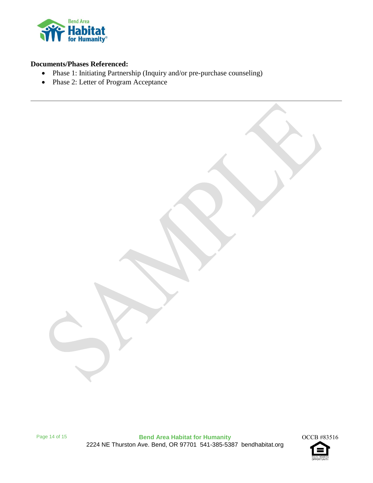

#### **Documents/Phases Referenced:**

- Phase 1: Initiating Partnership (Inquiry and/or pre-purchase counseling)
- Phase 2: Letter of Program Acceptance